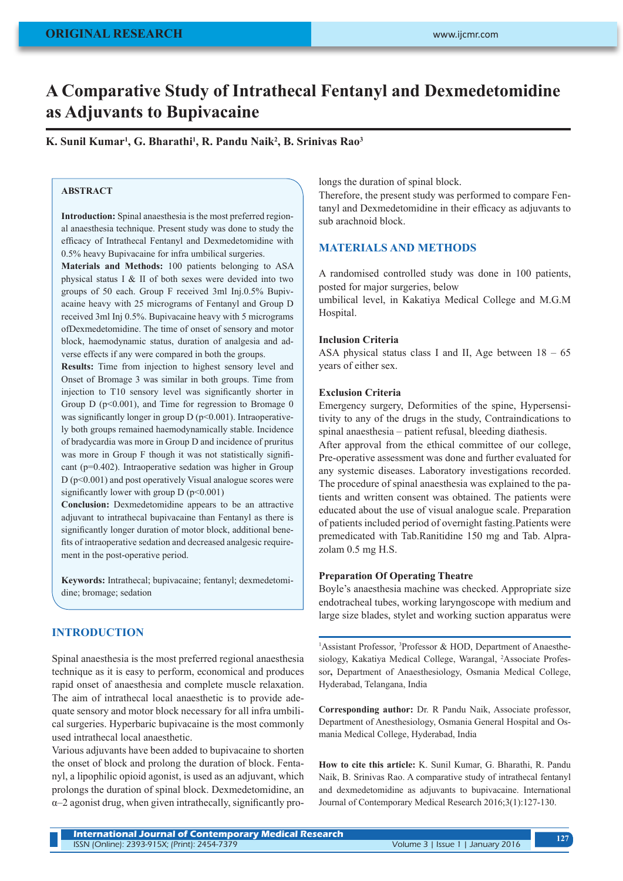# **A Comparative Study of Intrathecal Fentanyl and Dexmedetomidine as Adjuvants to Bupivacaine**

**K. Sunil Kumar1 , G. Bharathi1 , R. Pandu Naik2 , B. Srinivas Rao3**

## **ABSTRACT**

**Introduction:** Spinal anaesthesia is the most preferred regional anaesthesia technique. Present study was done to study the efficacy of Intrathecal Fentanyl and Dexmedetomidine with 0.5% heavy Bupivacaine for infra umbilical surgeries.

**Materials and Methods:** 100 patients belonging to ASA physical status I & II of both sexes were devided into two groups of 50 each. Group F received 3ml Inj.0.5% Bupivacaine heavy with 25 micrograms of Fentanyl and Group D received 3ml Inj 0.5%. Bupivacaine heavy with 5 micrograms ofDexmedetomidine. The time of onset of sensory and motor block, haemodynamic status, duration of analgesia and adverse effects if any were compared in both the groups.

**Results:** Time from injection to highest sensory level and Onset of Bromage 3 was similar in both groups. Time from injection to T10 sensory level was significantly shorter in Group D ( $p<0.001$ ), and Time for regression to Bromage 0 was significantly longer in group  $D(p<0.001)$ . Intraoperatively both groups remained haemodynamically stable. Incidence of bradycardia was more in Group D and incidence of pruritus was more in Group F though it was not statistically significant (p=0.402). Intraoperative sedation was higher in Group  $D$  ( $p \le 0.001$ ) and post operatively Visual analogue scores were significantly lower with group  $D(p<0.001)$ 

**Conclusion:** Dexmedetomidine appears to be an attractive adjuvant to intrathecal bupivacaine than Fentanyl as there is significantly longer duration of motor block, additional benefits of intraoperative sedation and decreased analgesic requirement in the post-operative period.

**Keywords:** Intrathecal; bupivacaine; fentanyl; dexmedetomidine; bromage; sedation

# **INTRODUCTION**

Spinal anaesthesia is the most preferred regional anaesthesia technique as it is easy to perform, economical and produces rapid onset of anaesthesia and complete muscle relaxation. The aim of intrathecal local anaesthetic is to provide adequate sensory and motor block necessary for all infra umbilical surgeries. Hyperbaric bupivacaine is the most commonly used intrathecal local anaesthetic.

Various adjuvants have been added to bupivacaine to shorten the onset of block and prolong the duration of block. Fentanyl, a lipophilic opioid agonist, is used as an adjuvant, which prolongs the duration of spinal block. Dexmedetomidine, an α–2 agonist drug, when given intrathecally, significantly prolongs the duration of spinal block.

Therefore, the present study was performed to compare Fentanyl and Dexmedetomidine in their efficacy as adjuvants to sub arachnoid block.

# **MATERIALS AND METHODS**

A randomised controlled study was done in 100 patients, posted for major surgeries, below

umbilical level, in Kakatiya Medical College and M.G.M Hospital.

## **Inclusion Criteria**

ASA physical status class I and II, Age between  $18 - 65$ years of either sex.

#### **Exclusion Criteria**

Emergency surgery, Deformities of the spine, Hypersensitivity to any of the drugs in the study, Contraindications to spinal anaesthesia – patient refusal, bleeding diathesis.

After approval from the ethical committee of our college, Pre-operative assessment was done and further evaluated for any systemic diseases. Laboratory investigations recorded. The procedure of spinal anaesthesia was explained to the patients and written consent was obtained. The patients were educated about the use of visual analogue scale. Preparation of patients included period of overnight fasting.Patients were premedicated with Tab.Ranitidine 150 mg and Tab. Alprazolam 0.5 mg H.S.

#### **Preparation Of Operating Theatre**

Boyle's anaesthesia machine was checked. Appropriate size endotracheal tubes, working laryngoscope with medium and large size blades, stylet and working suction apparatus were

<sup>1</sup>Assistant Professor, <sup>3</sup>Professor & HOD, Department of Anaesthesiology, Kakatiya Medical College, Warangal, 2 Associate Professor**,** Department of Anaesthesiology, Osmania Medical College, Hyderabad, Telangana, India

**Corresponding author:** Dr. R Pandu Naik, Associate professor, Department of Anesthesiology, Osmania General Hospital and Osmania Medical College, Hyderabad, India

**How to cite this article:** K. Sunil Kumar, G. Bharathi, R. Pandu Naik, B. Srinivas Rao. A comparative study of intrathecal fentanyl and dexmedetomidine as adjuvants to bupivacaine. International Journal of Contemporary Medical Research 2016;3(1):127-130.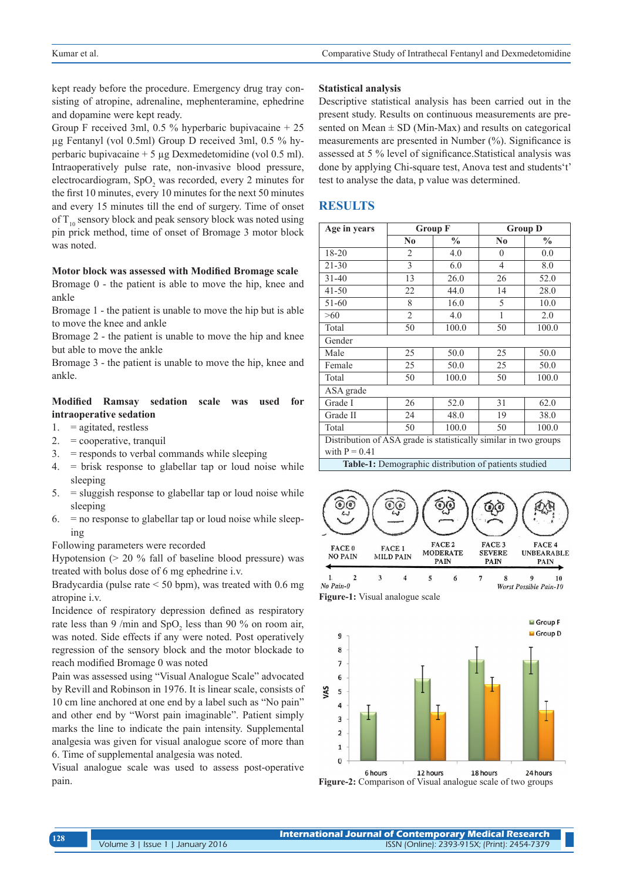kept ready before the procedure. Emergency drug tray consisting of atropine, adrenaline, mephenteramine, ephedrine and dopamine were kept ready.

Group F received 3ml,  $0.5 \%$  hyperbaric bupivacaine  $+ 25$ µg Fentanyl (vol 0.5ml) Group D received 3ml, 0.5 % hyperbaric bupivacaine + 5 µg Dexmedetomidine (vol 0.5 ml). Intraoperatively pulse rate, non-invasive blood pressure, electrocardiogram, SpO<sub>2</sub> was recorded, every 2 minutes for the first 10 minutes, every 10 minutes for the next 50 minutes and every 15 minutes till the end of surgery. Time of onset of  $T_{10}$  sensory block and peak sensory block was noted using pin prick method, time of onset of Bromage 3 motor block was noted.

#### **Motor block was assessed with Modified Bromage scale**

Bromage 0 - the patient is able to move the hip, knee and ankle

Bromage 1 - the patient is unable to move the hip but is able to move the knee and ankle

Bromage 2 - the patient is unable to move the hip and knee but able to move the ankle

Bromage 3 - the patient is unable to move the hip, knee and ankle.

## **Modified Ramsay sedation scale was used for intraoperative sedation**

- $1. =$ agitated, restless
- 2. = cooperative, tranquil
- 3. = responds to verbal commands while sleeping
- 4. = brisk response to glabellar tap or loud noise while sleeping
- $5.$  = sluggish response to glabellar tap or loud noise while sleeping
- $6.$  = no response to glabellar tap or loud noise while sleeping

Following parameters were recorded

Hypotension (> 20 % fall of baseline blood pressure) was treated with bolus dose of 6 mg ephedrine i.v.

Bradycardia (pulse rate < 50 bpm), was treated with 0.6 mg atropine i.v.

Incidence of respiratory depression defined as respiratory rate less than 9 /min and  $SpO<sub>2</sub>$  less than 90 % on room air, was noted. Side effects if any were noted. Post operatively regression of the sensory block and the motor blockade to reach modified Bromage 0 was noted

Pain was assessed using "Visual Analogue Scale" advocated by Revill and Robinson in 1976. It is linear scale, consists of 10 cm line anchored at one end by a label such as "No pain" and other end by "Worst pain imaginable". Patient simply marks the line to indicate the pain intensity. Supplemental analgesia was given for visual analogue score of more than 6. Time of supplemental analgesia was noted.

Visual analogue scale was used to assess post-operative pain.

#### **Statistical analysis**

Descriptive statistical analysis has been carried out in the present study. Results on continuous measurements are presented on Mean  $\pm$  SD (Min-Max) and results on categorical measurements are presented in Number (%). Significance is assessed at 5 % level of significance.Statistical analysis was done by applying Chi-square test, Anova test and students't' test to analyse the data, p value was determined.

## **RESULTS**

| Age in years                                                                                                                                                                     | <b>Group F</b> |               | <b>Group D</b> |               |  |
|----------------------------------------------------------------------------------------------------------------------------------------------------------------------------------|----------------|---------------|----------------|---------------|--|
|                                                                                                                                                                                  | $\bf{N0}$      | $\frac{0}{0}$ | $\bf No$       | $\frac{0}{0}$ |  |
| 18-20                                                                                                                                                                            | 2              | 4.0           | $\mathbf{0}$   | 0.0           |  |
| $21 - 30$                                                                                                                                                                        | 3              | 6.0           | $\overline{4}$ | 8.0           |  |
| $31 - 40$                                                                                                                                                                        | 13             | 26.0          | 26             | 52.0          |  |
| $41 - 50$                                                                                                                                                                        | 22             | 44.0          | 14             | 28.0          |  |
| 51-60                                                                                                                                                                            | 8              | 16.0          | 5              | 10.0          |  |
| >60                                                                                                                                                                              | $\overline{2}$ | 4.0           | 1              | 2.0           |  |
| Total                                                                                                                                                                            | 50             | 100.0         | 50             | 100.0         |  |
| Gender                                                                                                                                                                           |                |               |                |               |  |
| Male                                                                                                                                                                             | 25             | 50.0          | 25             | 50.0          |  |
| Female                                                                                                                                                                           | 25             | 50.0          | 25             | 50.0          |  |
| Total                                                                                                                                                                            | 50             | 100.0         | 50             | 100.0         |  |
| ASA grade                                                                                                                                                                        |                |               |                |               |  |
| Grade I                                                                                                                                                                          | 26             | 52.0          | 31             | 62.0          |  |
| Grade II                                                                                                                                                                         | 24             | 48.0          | 19             | 38.0          |  |
| Total                                                                                                                                                                            | 50             | 100.0         | 50             | 100.0         |  |
| Distribution of ASA grade is statistically similar in two groups<br>with $P = 0.41$<br>and the state of the control of the<br><b>Contract Contract</b><br>$\sim$<br>$\mathbf{A}$ |                |               |                |               |  |

**Table-1:** Demographic distribution of patients studied



**Figure-1:** Visual analogue scale



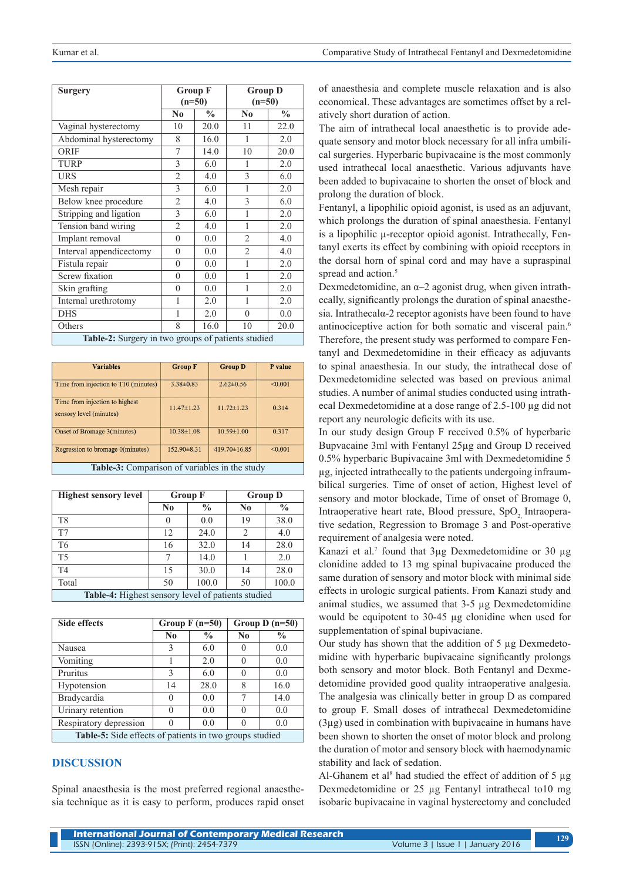| <b>Surgery</b>                                     | <b>Group F</b><br>$(n=50)$ |               | <b>Group D</b><br>$(n=50)$ |               |
|----------------------------------------------------|----------------------------|---------------|----------------------------|---------------|
|                                                    | N <sub>0</sub>             | $\frac{0}{0}$ | N <sub>0</sub>             | $\frac{1}{2}$ |
| Vaginal hysterectomy                               | 10                         | 20.0          | 11                         | 22.0          |
| Abdominal hysterectomy                             | 8                          | 16.0          | 1                          | 2.0           |
| <b>ORIF</b>                                        | 7                          | 14.0          | 10                         | 20.0          |
| <b>TURP</b>                                        | 3                          | 6.0           | 1                          | 2.0           |
| <b>URS</b>                                         | $\mathfrak{D}$             | 4.0           | 3                          | 6.0           |
| Mesh repair                                        | 3                          | 6.0           | 1                          | 2.0           |
| Below knee procedure                               | $\overline{c}$             | 4.0           | 3                          | 6.0           |
| Stripping and ligation                             | $\overline{\mathcal{E}}$   | 6.0           | 1                          | 2.0           |
| Tension band wiring                                | $\mathfrak{D}$             | 4.0           | 1                          | 2.0           |
| Implant removal                                    | $\theta$                   | 0.0           | $\overline{2}$             | 4.0           |
| Interval appendicectomy                            | $\theta$                   | 0.0           | $\overline{c}$             | 4.0           |
| Fistula repair                                     | $\theta$                   | 0.0           | 1                          | 2.0           |
| <b>Screw fixation</b>                              | $\theta$                   | 0.0           | 1                          | 2.0           |
| Skin grafting                                      | $\theta$                   | 0.0           | 1                          | 2.0           |
| Internal urethrotomy                               | 1                          | 2.0           | 1                          | 2.0           |
| <b>DHS</b>                                         | 1                          | 2.0           | $\Omega$                   | 0.0           |
| Others                                             | 8                          | 16.0          | 10                         | 20.0          |
| Table-2: Surgery in two groups of patients studied |                            |               |                            |               |

| <b>Variables</b>                                          | <b>Group F</b>   | <b>Group D</b>     | P value |  |
|-----------------------------------------------------------|------------------|--------------------|---------|--|
| Time from injection to T10 (minutes)                      | $3.38 \pm 0.83$  | $2.62 \pm 0.56$    | < 0.001 |  |
| Time from injection to highest<br>sensory level (minutes) | $11.47\pm1.23$   | $11.72 \pm 1.23$   | 0.314   |  |
| Onset of Bromage 3(minutes)                               | $10.38 \pm 1.08$ | $10.59 \pm 1.00$   | 0.317   |  |
| Regression to bromage 0(minutes)                          | 152.90±8.31      | $419.70 \pm 16.85$ | < 0.001 |  |
| Table-3: Comparison of variables in the study             |                  |                    |         |  |

| <b>Highest sensory level</b>                       | <b>Group F</b> |               | <b>Group D</b> |               |
|----------------------------------------------------|----------------|---------------|----------------|---------------|
|                                                    | No             | $\frac{0}{0}$ | N <sub>0</sub> | $\frac{0}{0}$ |
| T <sub>8</sub>                                     | 0              | 0.0           | 19             | 38.0          |
| T7                                                 | 12             | 24.0          | 2              | 4.0           |
| T <sub>6</sub>                                     | 16             | 32.0          | 14             | 28.0          |
| T <sub>5</sub>                                     | 7              | 14.0          |                | 2.0           |
| T <sub>4</sub>                                     | 15             | 30.0          | 14             | 28.0          |
| Total                                              | 50             | 100.0         | 50             | 100.0         |
| Table-4: Highest sensory level of patients studied |                |               |                |               |

| <b>Side effects</b>                                     | Group $F(n=50)$ |               | Group $D(n=50)$ |               |
|---------------------------------------------------------|-----------------|---------------|-----------------|---------------|
|                                                         | N <sub>0</sub>  | $\frac{0}{0}$ | N <sub>0</sub>  | $\frac{0}{0}$ |
| Nausea                                                  | 3               | 6.0           |                 | 0.0           |
| Vomiting                                                |                 | 2.0           |                 | 0.0           |
| Pruritus                                                | 3               | 6.0           |                 | 0.0           |
| Hypotension                                             | 14              | 28.0          | 8               | 16.0          |
| <b>Bradycardia</b>                                      | $\theta$        | 0.0           | 7               | 14.0          |
| Urinary retention                                       |                 | 0.0           |                 | 0.0           |
| Respiratory depression                                  |                 | 0.0           |                 | 0.0           |
| Table-5: Side effects of patients in two groups studied |                 |               |                 |               |

#### **DISCUSSION**

Spinal anaesthesia is the most preferred regional anaesthesia technique as it is easy to perform, produces rapid onset of anaesthesia and complete muscle relaxation and is also economical. These advantages are sometimes offset by a relatively short duration of action.

The aim of intrathecal local anaesthetic is to provide adequate sensory and motor block necessary for all infra umbilical surgeries. Hyperbaric bupivacaine is the most commonly used intrathecal local anaesthetic. Various adjuvants have been added to bupivacaine to shorten the onset of block and prolong the duration of block.

Fentanyl, a lipophilic opioid agonist, is used as an adjuvant, which prolongs the duration of spinal anaesthesia. Fentanyl is a lipophilic µ-receptor opioid agonist. Intrathecally, Fentanyl exerts its effect by combining with opioid receptors in the dorsal horn of spinal cord and may have a supraspinal spread and action.<sup>5</sup>

Dexmedetomidine, an  $\alpha$ –2 agonist drug, when given intrathecally, significantly prolongs the duration of spinal anaesthesia. Intrathecalα-2 receptor agonists have been found to have antinociceptive action for both somatic and visceral pain.<sup>6</sup> Therefore, the present study was performed to compare Fentanyl and Dexmedetomidine in their efficacy as adjuvants to spinal anaesthesia. In our study, the intrathecal dose of Dexmedetomidine selected was based on previous animal studies. A number of animal studies conducted using intrathecal Dexmedetomidine at a dose range of 2.5-100 µg did not report any neurologic deficits with its use.

In our study design Group F received 0.5% of hyperbaric Bupvacaine 3ml with Fentanyl 25µg and Group D received 0.5% hyperbaric Bupivacaine 3ml with Dexmedetomidine 5 µg, injected intrathecally to the patients undergoing infraumbilical surgeries. Time of onset of action, Highest level of sensory and motor blockade, Time of onset of Bromage 0, Intraoperative heart rate, Blood pressure, SpO<sub>2</sub>, Intraoperative sedation, Regression to Bromage 3 and Post-operative requirement of analgesia were noted.

Kanazi et al.<sup>7</sup> found that 3μg Dexmedetomidine or 30 μg clonidine added to 13 mg spinal bupivacaine produced the same duration of sensory and motor block with minimal side effects in urologic surgical patients. From Kanazi study and animal studies, we assumed that 3-5 µg Dexmedetomidine would be equipotent to 30-45 µg clonidine when used for supplementation of spinal bupivaciane.

Our study has shown that the addition of 5 µg Dexmedetomidine with hyperbaric bupivacaine significantly prolongs both sensory and motor block. Both Fentanyl and Dexmedetomidine provided good quality intraoperative analgesia. The analgesia was clinically better in group D as compared to group F. Small doses of intrathecal Dexmedetomidine (3µg) used in combination with bupivacaine in humans have been shown to shorten the onset of motor block and prolong the duration of motor and sensory block with haemodynamic stability and lack of sedation.

Al-Ghanem et al<sup>8</sup> had studied the effect of addition of 5  $\mu$ g Dexmedetomidine or 25 µg Fentanyl intrathecal to10 mg isobaric bupivacaine in vaginal hysterectomy and concluded